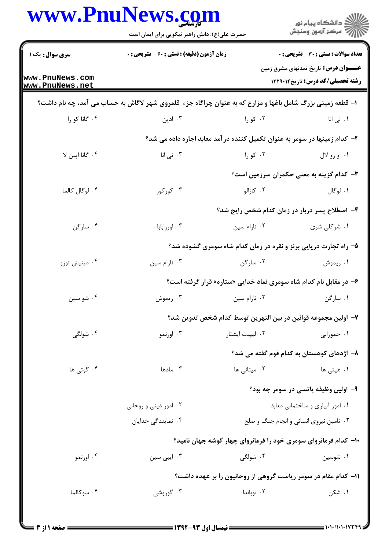| www.PnuNews.com                    | حضرت علی(ع): دانش راهبر نیکویی برای ایمان است                                                              |                                                                            | ڪ دانشڪاه پيا <sub>م</sub> نور<br><mark>ر</mark> ⊽ مرڪز آزمون وسنڊش                     |  |  |
|------------------------------------|------------------------------------------------------------------------------------------------------------|----------------------------------------------------------------------------|-----------------------------------------------------------------------------------------|--|--|
| <b>سری سوال :</b> یک ۱             | زمان آزمون (دقیقه) : تستی : 60 ٪ تشریحی : 0                                                                |                                                                            | تعداد سوالات : تستي : 30 ٪ تشريحي : 0                                                   |  |  |
| www.PnuNews.com<br>www.PnuNews.net |                                                                                                            |                                                                            | <b>عنــــوان درس:</b> تاریخ تمدنهای مشرق زمین<br><b>رشته تحصیلی/کد درس:</b> تاریخ122914 |  |  |
|                                    | ۱- قطعه زمینی بزرگ شامل باغها و مزارع که به عنوان چراگاه جزء قلمروی شهر لاگاش به حساب می آمد، چه نام داشت؟ |                                                                            |                                                                                         |  |  |
| ۰۴ گانا کو را                      | ۰۳ ادین                                                                                                    | ۰۲ کو را در است                                                            | <b>۱.</b> نی انا                                                                        |  |  |
|                                    |                                                                                                            | ۲- کدام زمینها در سومر به عنوان تکمیل کننده در آمد معابد اجاره داده می شد؟ |                                                                                         |  |  |
| ۰۴ گانا اپین لا                    | ۰۳ نی انا                                                                                                  | ۰۲ کو را                                                                   | ۰۱ او رو لال                                                                            |  |  |
|                                    |                                                                                                            |                                                                            | ۳- کدام گزینه به معنی حکمران سرزمین است؟                                                |  |  |
| ۴. لوگال کالما                     | ۰۳ کورکور                                                                                                  | ۰۲ کازالو                                                                  | ۰۱ لوگال                                                                                |  |  |
|                                    | ۴- اصطلاح پسر دربار در زمان کدام شخص رایج شد؟                                                              |                                                                            |                                                                                         |  |  |
| ۰۴ سارگن                           | ۰۳ اورزابابا                                                                                               | ۰۲ نارام سين                                                               | ۰۱ شرکلی شری                                                                            |  |  |
|                                    | ۵– راه تجارت دریایی برنز و نقره در زمان کدام شاه سومری گشوده شد؟                                           |                                                                            |                                                                                         |  |  |
| ۰۴ مینیش توزو                      | ۰۳ نارام سين                                                                                               | ۰۲ سارگن                                                                   | ۰۱ ريموش                                                                                |  |  |
|                                    | ۶– در مقابل نام کدام شاه سومری نماد خدایی «ستاره» قرار گرفته است؟                                          |                                                                            |                                                                                         |  |  |
| ۰۴ شو سين                          | ۰۳ ريموش                                                                                                   | ۰۲ نارام سین                                                               | ۰۱ سارگن                                                                                |  |  |
|                                    | ٧– اولین مجموعه قوانین در بین النهرین توسط کدام شخص تدوین شد؟                                              |                                                                            |                                                                                         |  |  |
| ۰۴ شولگی                           | ۰۳ اورنمو                                                                                                  | ۰۲ لیپیت ایشتار                                                            | ۰۱ حمورابی                                                                              |  |  |
|                                    | ۸– اژدهای کوهستان به کدام قوم گفته می شد؟                                                                  |                                                                            |                                                                                         |  |  |
| ۰۴ گوتی ها                         | ۰۳ مادها                                                                                                   | ۰۲ میتانی ها                                                               | ۱.  هیتی ها                                                                             |  |  |
|                                    |                                                                                                            |                                                                            | ۹- اولین وظیفه پاتسی در سومر چه بود؟                                                    |  |  |
|                                    | ۰۲ امور دینی و روحانی                                                                                      | ٠١ امور آبياري و ساختماني معابد                                            |                                                                                         |  |  |
|                                    | ۰۴ نمایندگی خدایان                                                                                         | ۰۳ تامین نیروی انسانی و انجام جنگ و صلح                                    |                                                                                         |  |  |
|                                    |                                                                                                            | ۱۰- کدام فرمانروای سومری خود را فرمانروای چهار گوشه جهان نامید؟            |                                                                                         |  |  |
| ۰۴ اورنمو                          | ۰۳ ایبی سین                                                                                                | ۰۲ شولگی                                                                   | ۰۱ شوسین                                                                                |  |  |
|                                    |                                                                                                            | 11- کدام مقام در سومر ریاست گروهی از روحانیون را بر عهده داشت؟             |                                                                                         |  |  |
| ۰۴ سوکالما                         | ۰۳ گوروشی                                                                                                  | ۰۲ نوباندا                                                                 | ۰۱ شکن                                                                                  |  |  |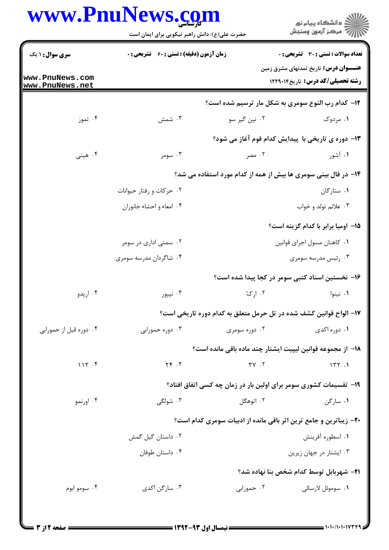## **WWW PnuNews com**

|                                    | www.PnuNews.com<br>حضرت علی(ع): دانش راهبر نیکویی برای ایمان است          |                               | ر<br>دانشڪاه پيام نور)<br>ا∛ مرڪز آزمون وسنڊش                                             |  |
|------------------------------------|---------------------------------------------------------------------------|-------------------------------|-------------------------------------------------------------------------------------------|--|
| <b>سری سوال : ۱ یک</b>             | <b>زمان آزمون (دقیقه) : تستی : 60 ٪ تشریحی : 0</b>                        |                               | تعداد سوالات : تستي : 30 - تشريحي : 0                                                     |  |
| www.PnuNews.com<br>www.PnuNews.net |                                                                           |                               | <b>عنــــوان درس:</b> تاریخ تمدنهای مشرق زمین<br><b>رشته تحصیلی/کد درس:</b> تاریخ ۱۲۲۹۰۱۴ |  |
|                                    |                                                                           |                               | ۱۲- کدام رب النوع سومری به شکل مار ترسیم شده است؟                                         |  |
| ۰۴ تموز                            | ۰۳ شمش                                                                    | ۰۲ نین گیر سو                 | ۱. مردوک                                                                                  |  |
|                                    |                                                                           |                               | ۱۳- دوره ی تاریخی با پیدایش کدام قوم آغاز می شود؟                                         |  |
| ۰۴ هيتي                            | ۰۳ سومر                                                                   | ۰۲ مصر                        | ۰۱ آشور                                                                                   |  |
|                                    | ۱۴- در فال بینی سومری ها بیش از همه از کدام مورد استفاده می شد؟           |                               |                                                                                           |  |
|                                    | ۰۲ حرکات و رفتار حیوانات                                                  |                               | ۰۱ ستارگان                                                                                |  |
|                                    | ۰۴ امعاء و احشاء جانوران                                                  |                               | ۰۳ علائم تولد و خواب                                                                      |  |
|                                    |                                                                           |                               | 1۵– اومیا برابر با کدام گزینه است؟                                                        |  |
|                                    | ۰۲ سمتی اداری در سومر                                                     | ٠١. كاهنان مسول اجراى قوانين  |                                                                                           |  |
|                                    | ۰۴ شاگردان مدرسه سومری                                                    | ۰۳ رئیس مدرسه سومری           |                                                                                           |  |
|                                    |                                                                           |                               | ۱۶– نخستین اسناد کتبی سومر در کجا پیدا شده است؟                                           |  |
| ۰۴ اریدو                           | ۰۳ نیپور                                                                  |                               | ۰۱ نینوا می ازدی به این کار ک                                                             |  |
|                                    |                                                                           |                               | ۱۷– الواح قوانین کشف شده در تل حرمل متعلق به کدام دوره تاریخی است؟                        |  |
| ۰۴ دوره قبل از حمورابی             | ۰۳ دوره حمورابی                                                           | ۰۲ دوره سومری                 | ۰۱ دوره اکدی                                                                              |  |
|                                    |                                                                           |                               | 18− از مجموعه قوانین لیپیت ایشتار چند ماده باقی مانده است؟                                |  |
| 117.5                              | $Y \in \mathcal{X}$                                                       | $\mathbf{y} \cdot \mathbf{y}$ | 177.1                                                                                     |  |
|                                    |                                                                           |                               | ۱۹- تقسیمات کشوری سومر برای اولین بار در زمان چه کسی اتفاق افتاد؟                         |  |
| ۰۴ اورنمو                          | ۰۳ شولگی                                                                  | ۰۲ اتوهگل                     | ۰۱ سارگن                                                                                  |  |
|                                    | <b>۲۰</b> - زیباترین و جامع ترین اثر باقی مانده از ادبیات سومری کدام است؟ |                               |                                                                                           |  |
|                                    | ۰۲ داستان گیل گمش                                                         |                               | ۰۱ اسطوره آفرینش                                                                          |  |
|                                    | ۰۴ داستان طوفان                                                           |                               | ۰۳ ایشتار در جهان زیرین                                                                   |  |
|                                    |                                                                           |                               | <b>۲۱</b> – شهربابل توسط کدام شخص بنا نهاده شد؟                                           |  |
| ۰۴ سومو ابوم                       | ۰۳ سارگن اکدی                                                             | ۰۲ حمورابی                    | ۰۱ سوموئل لارسائی                                                                         |  |